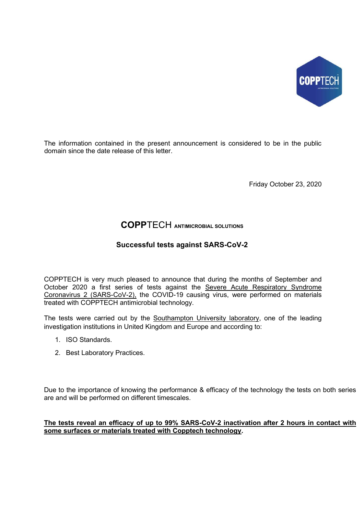

The information contained in the present announcement is considered to be in the public domain since the date release of this letter.

Friday October 23, 2020

## COPPTECH ANTIMICROBIAL SOLUTIONS

## Successful tests against SARS-CoV-2

COPPTECH is very much pleased to announce that during the months of September and October 2020 a first series of tests against the Severe Acute Respiratory Syndrome Coronavirus 2 (SARS-CoV-2), the COVID-19 causing virus, were performed on materials treated with COPPTECH antimicrobial technology.

The tests were carried out by the Southampton University laboratory, one of the leading investigation institutions in United Kingdom and Europe and according to:

- 1. ISO Standards.
- 2. Best Laboratory Practices.

Due to the importance of knowing the performance & efficacy of the technology the tests on both series are and will be performed on different timescales.

## The tests reveal an efficacy of up to 99% SARS-CoV-2 inactivation after 2 hours in contact with some surfaces or materials treated with Copptech technology.